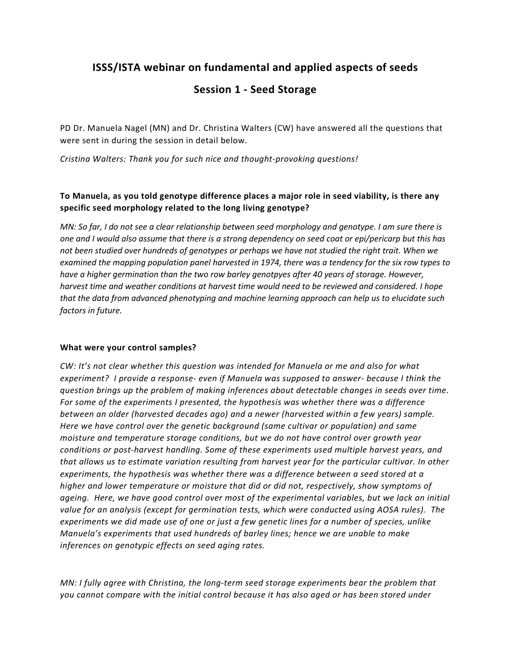# **ISSS/ISTA webinar on fundamental and applied aspects of seeds**

# **Session 1 - Seed Storage**

PD Dr. Manuela Nagel (MN) and Dr. Christina Walters (CW) have answered all the questions that were sent in during the session in detail below.

*Cristina Walters: Thank you for such nice and thought-provoking questions!*

# **To Manuela, as you told genotype difference places a major role in seed viability, is there any specific seed morphology related to the long living genotype?**

*MN: So far, I do not see a clear relationship between seed morphology and genotype. I am sure there is one and I would also assume that there is a strong dependency on seed coat or epi/pericarp but this has not been studied over hundreds of genotypes or perhaps we have not studied the right trait. When we examined the mapping population panel harvested in 1974, there was a tendency for the six row types to have a higher germination than the two row barley genotpyes after 40 years of storage. However, harvest time and weather conditions at harvest time would need to be reviewed and considered. I hope that the data from advanced phenotyping and machine learning approach can help us to elucidate such factors in future.* 

#### **What were your control samples?**

*CW: It's not clear whether this question was intended for Manuela or me and also for what experiment? I provide a response- even if Manuela was supposed to answer- because I think the question brings up the problem of making inferences about detectable changes in seeds over time. For some of the experiments I presented, the hypothesis was whether there was a difference between an older (harvested decades ago) and a newer (harvested within a few years) sample. Here we have control over the genetic background (same cultivar or population) and same moisture and temperature storage conditions, but we do not have control over growth year conditions or post-harvest handling. Some of these experiments used multiple harvest years, and that allows us to estimate variation resulting from harvest year for the particular cultivar. In other experiments, the hypothesis was whether there was a difference between a seed stored at a higher and lower temperature or moisture that did or did not, respectively, show symptoms of ageing. Here, we have good control over most of the experimental variables, but we lack an initial value for an analysis (except for germination tests, which were conducted using AOSA rules). The experiments we did made use of one or just a few genetic lines for a number of species, unlike Manuela's experiments that used hundreds of barley lines; hence we are unable to make inferences on genotypic effects on seed aging rates.*

*MN: I fully agree with Christina, the long-term seed storage experiments bear the problem that you cannot compare with the initial control because it has also aged or has been stored under*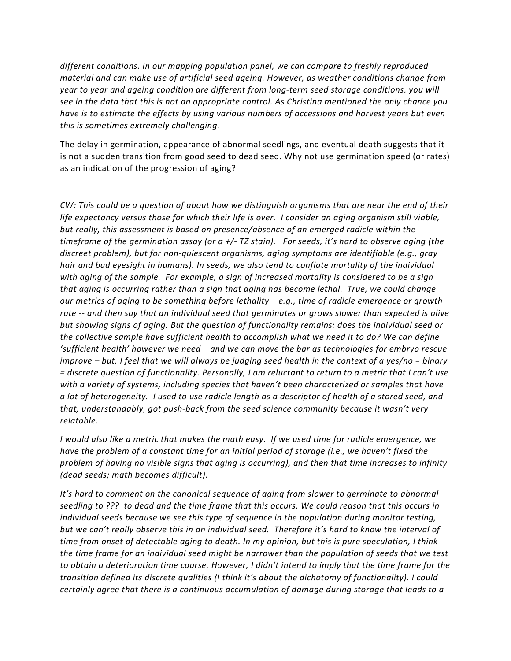*different conditions. In our mapping population panel, we can compare to freshly reproduced material and can make use of artificial seed ageing. However, as weather conditions change from year to year and ageing condition are different from long-term seed storage conditions, you will see in the data that this is not an appropriate control. As Christina mentioned the only chance you have is to estimate the effects by using various numbers of accessions and harvest years but even this is sometimes extremely challenging.*

The delay in germination, appearance of abnormal seedlings, and eventual death suggests that it is not a sudden transition from good seed to dead seed. Why not use germination speed (or rates) as an indication of the progression of aging?

*CW: This could be a question of about how we distinguish organisms that are near the end of their life expectancy versus those for which their life is over. I consider an aging organism still viable, but really, this assessment is based on presence/absence of an emerged radicle within the timeframe of the germination assay (or a +/- TZ stain). For seeds, it's hard to observe aging (the discreet problem), but for non-quiescent organisms, aging symptoms are identifiable (e.g., gray hair and bad eyesight in humans). In seeds, we also tend to conflate mortality of the individual with aging of the sample. For example, a sign of increased mortality is considered to be a sign that aging is occurring rather than a sign that aging has become lethal. True, we could change our metrics of aging to be something before lethality – e.g., time of radicle emergence or growth rate -- and then say that an individual seed that germinates or grows slower than expected is alive but showing signs of aging. But the question of functionality remains: does the individual seed or the collective sample have sufficient health to accomplish what we need it to do? We can define 'sufficient health' however we need – and we can move the bar as technologies for embryo rescue improve – but, I feel that we will always be judging seed health in the context of a yes/no = binary = discrete question of functionality. Personally, I am reluctant to return to a metric that I can't use with a variety of systems, including species that haven't been characterized or samples that have a lot of heterogeneity. I used to use radicle length as a descriptor of health of a stored seed, and that, understandably, got push-back from the seed science community because it wasn't very relatable.*

*I would also like a metric that makes the math easy. If we used time for radicle emergence, we have the problem of a constant time for an initial period of storage (i.e., we haven't fixed the problem of having no visible signs that aging is occurring), and then that time increases to infinity (dead seeds; math becomes difficult).* 

*It's hard to comment on the canonical sequence of aging from slower to germinate to abnormal seedling to ??? to dead and the time frame that this occurs. We could reason that this occurs in individual seeds because we see this type of sequence in the population during monitor testing, but we can't really observe this in an individual seed. Therefore it's hard to know the interval of time from onset of detectable aging to death. In my opinion, but this is pure speculation, I think the time frame for an individual seed might be narrower than the population of seeds that we test to obtain a deterioration time course. However, I didn't intend to imply that the time frame for the transition defined its discrete qualities (I think it's about the dichotomy of functionality). I could certainly agree that there is a continuous accumulation of damage during storage that leads to a*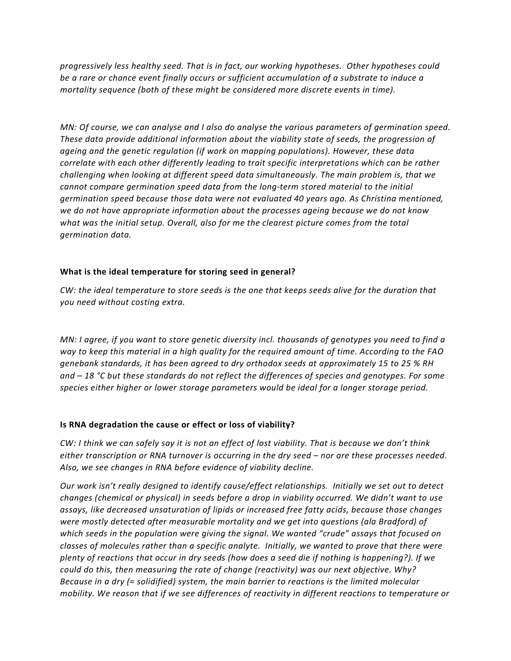*progressively less healthy seed. That is in fact, our working hypotheses. Other hypotheses could be a rare or chance event finally occurs or sufficient accumulation of a substrate to induce a mortality sequence (both of these might be considered more discrete events in time).* 

*MN: Of course, we can analyse and I also do analyse the various parameters of germination speed. These data provide additional information about the viability state of seeds, the progression of ageing and the genetic regulation (if work on mapping populations). However, these data correlate with each other differently leading to trait specific interpretations which can be rather challenging when looking at different speed data simultaneously. The main problem is, that we cannot compare germination speed data from the long-term stored material to the initial germination speed because those data were not evaluated 40 years ago. As Christina mentioned, we do not have appropriate information about the processes ageing because we do not know what was the initial setup. Overall, also for me the clearest picture comes from the total germination data.* 

#### **What is the ideal temperature for storing seed in general?**

*CW: the ideal temperature to store seeds is the one that keeps seeds alive for the duration that you need without costing extra.*

*MN: I agree, if you want to store genetic diversity incl. thousands of genotypes you need to find a way to keep this material in a high quality for the required amount of time. According to the FAO genebank standards, it has been agreed to dry orthodox seeds at approximately 15 to 25 % RH and – 18 °C but these standards do not reflect the differences of species and genotypes. For some species either higher or lower storage parameters would be ideal for a longer storage period.* 

#### **Is RNA degradation the cause or effect or loss of viability?**

*CW: I think we can safely say it is not an effect of lost viability. That is because we don't think either transcription or RNA turnover is occurring in the dry seed – nor are these processes needed. Also, we see changes in RNA before evidence of viability decline.*

*Our work isn't really designed to identify cause/effect relationships. Initially we set out to detect changes (chemical or physical) in seeds before a drop in viability occurred. We didn't want to use assays, like decreased unsaturation of lipids or increased free fatty acids, because those changes were mostly detected after measurable mortality and we get into questions (ala Bradford) of which seeds in the population were giving the signal. We wanted "crude" assays that focused on classes of molecules rather than a specific analyte. Initially, we wanted to prove that there were plenty of reactions that occur in dry seeds (how does a seed die if nothing is happening?). If we could do this, then measuring the rate of change (reactivity) was our next objective. Why? Because in a dry (= solidified) system, the main barrier to reactions is the limited molecular mobility. We reason that if we see differences of reactivity in different reactions to temperature or*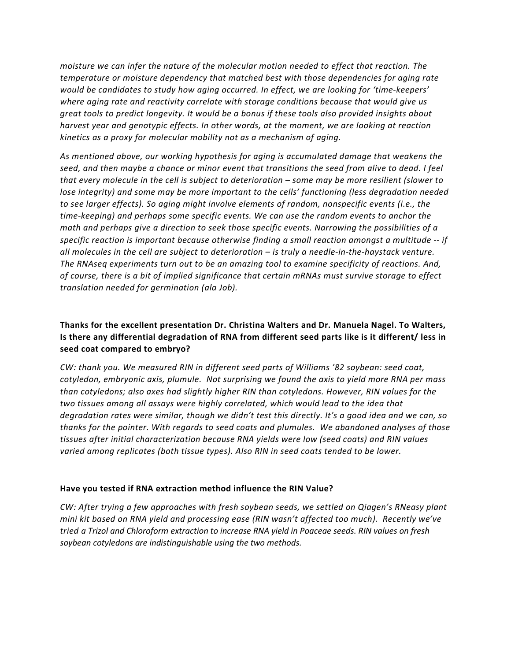*moisture we can infer the nature of the molecular motion needed to effect that reaction. The temperature or moisture dependency that matched best with those dependencies for aging rate would be candidates to study how aging occurred. In effect, we are looking for 'time-keepers' where aging rate and reactivity correlate with storage conditions because that would give us great tools to predict longevity. It would be a bonus if these tools also provided insights about harvest year and genotypic effects. In other words, at the moment, we are looking at reaction kinetics as a proxy for molecular mobility not as a mechanism of aging.*

*As mentioned above, our working hypothesis for aging is accumulated damage that weakens the seed, and then maybe a chance or minor event that transitions the seed from alive to dead. I feel that every molecule in the cell is subject to deterioration – some may be more resilient (slower to lose integrity) and some may be more important to the cells' functioning (less degradation needed to see larger effects). So aging might involve elements of random, nonspecific events (i.e., the time-keeping) and perhaps some specific events. We can use the random events to anchor the math and perhaps give a direction to seek those specific events. Narrowing the possibilities of a specific reaction is important because otherwise finding a small reaction amongst a multitude -- if all molecules in the cell are subject to deterioration – is truly a needle-in-the-haystack venture. The RNAseq experiments turn out to be an amazing tool to examine specificity of reactions. And, of course, there is a bit of implied significance that certain mRNAs must survive storage to effect translation needed for germination (ala Job).*

# **Thanks for the excellent presentation Dr. Christina Walters and Dr. Manuela Nagel. To Walters, Is there any differential degradation of RNA from different seed parts like is it different/ less in seed coat compared to embryo?**

*CW: thank you. We measured RIN in different seed parts of Williams '82 soybean: seed coat, cotyledon, embryonic axis, plumule. Not surprising we found the axis to yield more RNA per mass than cotyledons; also axes had slightly higher RIN than cotyledons. However, RIN values for the two tissues among all assays were highly correlated, which would lead to the idea that degradation rates were similar, though we didn't test this directly. It's a good idea and we can, so thanks for the pointer. With regards to seed coats and plumules. We abandoned analyses of those tissues after initial characterization because RNA yields were low (seed coats) and RIN values varied among replicates (both tissue types). Also RIN in seed coats tended to be lower.* 

#### **Have you tested if RNA extraction method influence the RIN Value?**

*CW: After trying a few approaches with fresh soybean seeds, we settled on Qiagen's RNeasy plant mini kit based on RNA yield and processing ease (RIN wasn't affected too much). Recently we've tried a Trizol and Chloroform extraction to increase RNA yield in Poaceae seeds. RIN values on fresh soybean cotyledons are indistinguishable using the two methods.*